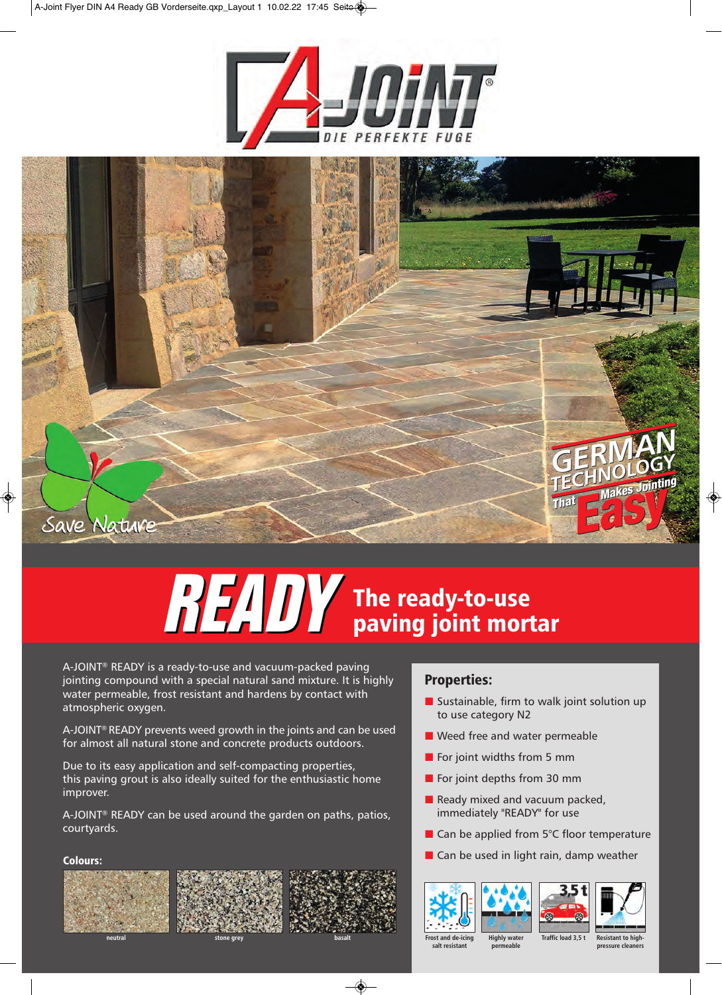



# **READY The ready-to-use paving joint mortar**

JY is a rea<br>bund witl<br>ble, frost<br>xygen. A-JOINT® READY is a ready-to-use and vacuum-packed paving jointing compound with a special natural sand mixture. It is highly water permeable, frost resistant and hardens by contact with atmospheric oxygen.

A-JOINT® READY prevents weed growth in the joints and can be used for almost all natural stone and concrete products outdoors.

Due to its easy application and self-compacting properties, this paving grout is also ideally suited for the enthusiastic home improver.

A-JOINT® READY can be used around the garden on paths, patios, courtyards.

## **Colours:**







# **Properties:**

- Sustainable, firm to walk joint solution up to use category N2
- Weed free and water permeable
- $\blacksquare$  For joint widths from 5 mm
- For joint depths from 30 mm
- $\blacksquare$  Ready mixed and vacuum packed, immediately "READY" for use
- Can be applied from 5°C floor temperature
- Can be used in light rain, damp weather





**Highly water permeable**





**Frost and de-icing salt resistant** **Traffic load 3,5 t Resistant to high-**

**pressure cleaners**